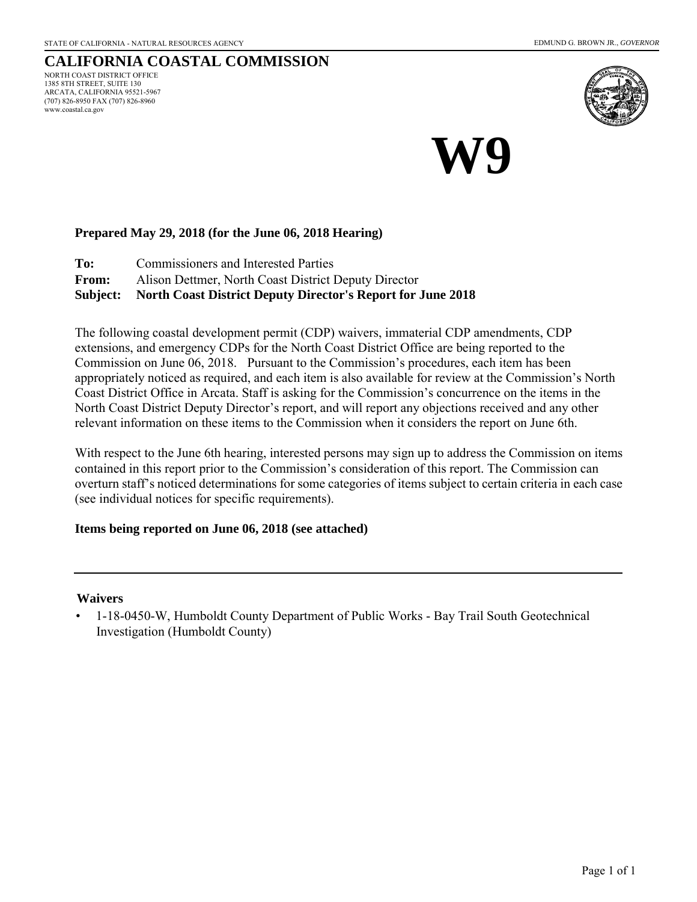www.coastal.ca.gov

#### **CALIFORNIA COASTAL COMMISSION** NORTH COAST DISTRICT OFFICE 1385 8TH STREET, SUITE 130 ARCATA, CALIFORNIA 95521-5967 (707) 826-8950 FAX (707) 826-8960



**W9**

# **Prepared May 29, 2018 (for the June 06, 2018 Hearing)**

**To:** Commissioners and Interested Parties

**From:** Alison Dettmer, North Coast District Deputy Director

**Subject: North Coast District Deputy Director's Report for June 2018** 

The following coastal development permit (CDP) waivers, immaterial CDP amendments, CDP extensions, and emergency CDPs for the North Coast District Office are being reported to the Commission on June 06, 2018. Pursuant to the Commission's procedures, each item has been appropriately noticed as required, and each item is also available for review at the Commission's North Coast District Office in Arcata. Staff is asking for the Commission's concurrence on the items in the North Coast District Deputy Director's report, and will report any objections received and any other relevant information on these items to the Commission when it considers the report on June 6th.

With respect to the June 6th hearing, interested persons may sign up to address the Commission on items contained in this report prior to the Commission's consideration of this report. The Commission can overturn staff's noticed determinations for some categories of items subject to certain criteria in each case (see individual notices for specific requirements).

### **Items being reported on June 06, 2018 (see attached)**

#### **Waivers**

• 1-18-0450-W, Humboldt County Department of Public Works - Bay Trail South Geotechnical Investigation (Humboldt County)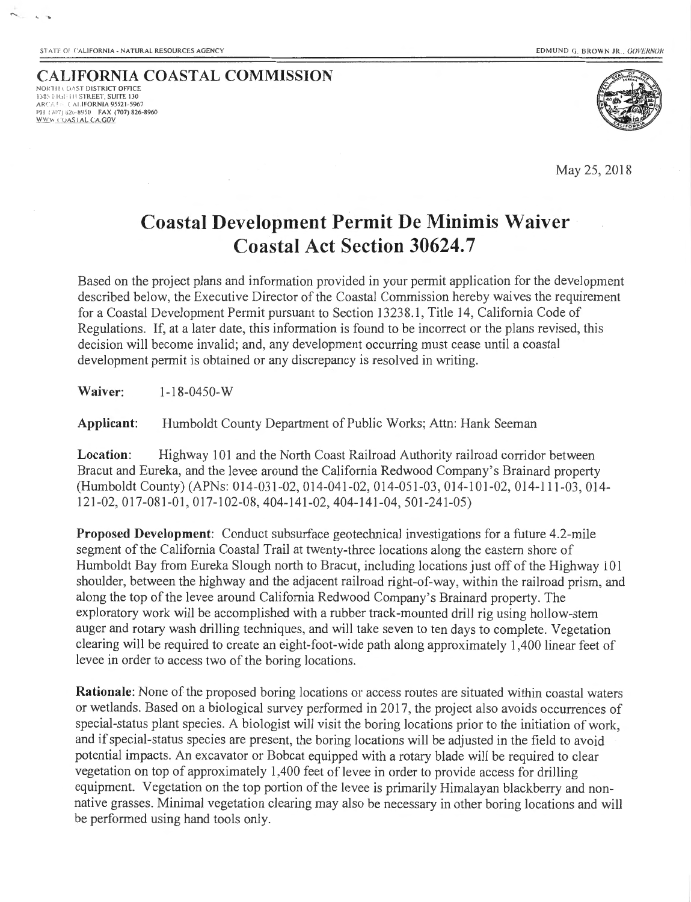**CALIFORNIA COASTAL COMMISSION** NORTH COAST DISTRICT OFFICE \.It . It, iII **:.;·1 REET. SUITE 130**  ARCAT: CALIFORNIA 95521-5967 PH (707) 826-8950 FAX (707) 826-8960 ~\\ **\_: UAS I AL CAGOV** 



May 25,2018

# **Coastal Development Permit De Minimis Waiver Coastal Act Section 30624.7**

Based on the project plans and information provided in your permit application for the development described below, the Executive Director of the Coastal Commission hereby waives the requirement for a Coastal Development Permit pursuant to Section 13238.1 , Title 14, California Code of Regulations. If, at a later date, this information is found to be incorrect or the plans revised, this decision will become invalid; and, any development occurring must cease until a coastal development permit is obtained or any discrepancy is resolved in writing.

**Waiver:** 1-18-0450-w

**Applicant:** Humboldt County Department of Public Works; Attn: Hank Seeman

**Location:** Highway 101 and the North Coast Railroad Authority railroad corridor between Bracut and Eureka, and the levee around the California Redwood Company's Brainard property (Humboldt County) (APNs: 014-031-02, 014-041-02, 014-051-03, 014-1 01-02, 014-111-03 , 014- 121-02,017-081-01 , 017-1 02-08, 404-141-02, 404-141-04, 501-241-05)

**Proposed Development:** Conduct subsurface geotechnical investigations for a future 4.2-mile segment of the California Coastal Trail at twenty-three locations along the eastern shore of Humboldt Bay from Eureka Slough north to Bracut, including locations just off of the Highway 101 shoulder, between the highway and the adjacent railroad right-of-way, within the railroad prism, and along the top of the levee around California Redwood Company's Brainard property. The exploratory work will be accomplished with a rubber track-mounted drill rig using hollow-stem auger and rotary wash drilling techniques, and will take seven to ten days to complete. Vegetation clearing will be required to create an eight-foot-wide path along approximately 1,400 linear feet of levee in order to access two of the boring locations.

**Rationale:** None of the proposed boring locations or access routes are situated within coastal waters or wetlands. Based on a biological survey performed in 2017, the project also avoids occurrences of special-status plant species. A biologist will visit the boring locations prior to the initiation of work, and if special-status species are present, the boring locations will be adjusted in the field to avoid potential impacts. An excavator or Bobcat equipped with a rotary blade will be required to clear vegetation on top of approximately 1,400 feet of levee in order to provide access for drilling equipment. Vegetation on the top portion of the levee is primarily Himalayan blackberry and nonnative grasses. Minimal vegetation clearing may also be necessary in other boring locations and will be performed using hand tools only.